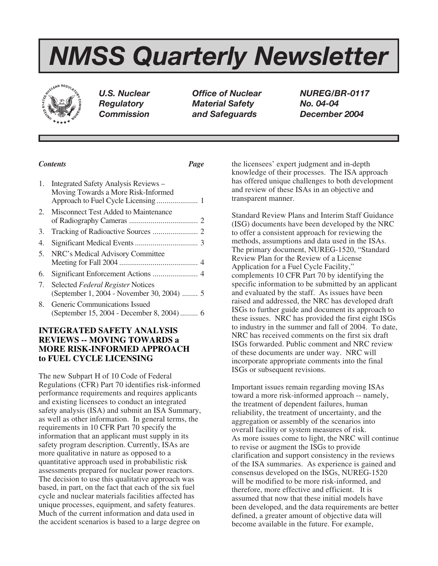# *NMSS Quarterly Newsletter*



*Regulatory Material Safety No. 04-04 Commission and Safeguards December 2004*

*U.S. Nuclear Office of Nuclear NUREG/BR-0117*

# *Contents Page*

| 1. | Integrated Safety Analysis Reviews -<br>Moving Towards a More Risk-Informed     |  |
|----|---------------------------------------------------------------------------------|--|
|    | 2. Misconnect Test Added to Maintenance                                         |  |
| 3. |                                                                                 |  |
| 4. |                                                                                 |  |
| 5. | NRC's Medical Advisory Committee                                                |  |
| 6. |                                                                                 |  |
| 7. | Selected Federal Register Notices<br>(September 1, 2004 - November 30, 2004)  5 |  |
| 8. | Generic Communications Issued<br>(September 15, 2004 - December 8, 2004) 6      |  |
|    |                                                                                 |  |

# **INTEGRATED SAFETY ANALYSIS REVIEWS -- MOVING TOWARDS a MORE RISK-INFORMED APPROACH to FUEL CYCLE LICENSING**

The new Subpart H of 10 Code of Federal Regulations (CFR) Part 70 identifies risk-informed performance requirements and requires applicants and existing licensees to conduct an integrated safety analysis (ISA) and submit an ISA Summary, as well as other information. In general terms, the requirements in 10 CFR Part 70 specify the information that an applicant must supply in its safety program description. Currently, ISAs are more qualitative in nature as opposed to a quantitative approach used in probabilistic risk assessments prepared for nuclear power reactors. The decision to use this qualitative approach was based, in part, on the fact that each of the six fuel cycle and nuclear materials facilities affected has unique processes, equipment, and safety features. Much of the current information and data used in the accident scenarios is based to a large degree on

the licensees' expert judgment and in-depth knowledge of their processes. The ISA approach has offered unique challenges to both development and review of these ISAs in an objective and transparent manner.

Standard Review Plans and Interim Staff Guidance (ISG) documents have been developed by the NRC to offer a consistent approach for reviewing the methods, assumptions and data used in the ISAs. The primary document, NUREG-1520, "Standard Review Plan for the Review of a License Application for a Fuel Cycle Facility," complements 10 CFR Part 70 by identifying the specific information to be submitted by an applicant and evaluated by the staff. As issues have been raised and addressed, the NRC has developed draft ISGs to further guide and document its approach to these issues. NRC has provided the first eight ISGs to industry in the summer and fall of 2004. To date, NRC has received comments on the first six draft ISGs forwarded. Public comment and NRC review of these documents are under way. NRC will incorporate appropriate comments into the final ISGs or subsequent revisions.

Important issues remain regarding moving ISAs toward a more risk-informed approach -- namely, the treatment of dependent failures, human reliability, the treatment of uncertainty, and the aggregation or assembly of the scenarios into overall facility or system measures of risk. As more issues come to light, the NRC will continue to revise or augment the ISGs to provide clarification and support consistency in the reviews of the ISA summaries. As experience is gained and consensus developed on the ISGs, NUREG-1520 will be modified to be more risk-informed, and therefore, more effective and efficient. It is assumed that now that these initial models have been developed, and the data requirements are better defined, a greater amount of objective data will become available in the future. For example,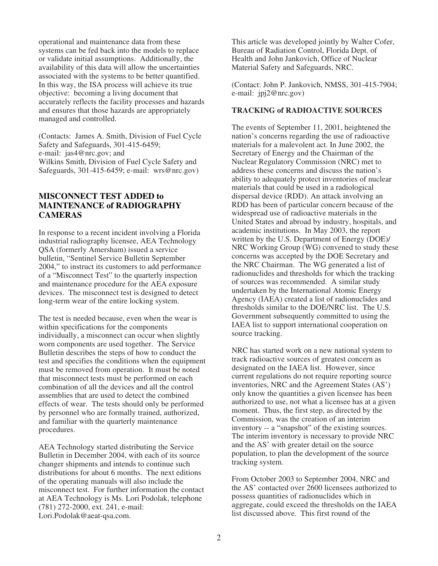operational and maintenance data from these systems can be fed back into the models to replace or validate initial assumptions. Additionally, the availability of this data will allow the uncertainties associated with the systems to be better quantified. In this way, the ISA process will achieve its true objective: becoming a living document that accurately reflects the facility processes and hazards and ensures that those hazards are appropriately managed and controlled.

(Contacts: James A. Smith, Division of Fuel Cycle Safety and Safeguards, 301-415-6459; e-mail: jas4@nrc.gov; and Wilkins Smith, Division of Fuel Cycle Safety and Safeguards, 301-415-6459; e-mail: wrs@nrc.gov)

## **MISCONNECT TEST ADDED to MAINTENANCE of RADIOGRAPHY CAMERAS**

In response to a recent incident involving a Florida industrial radiography licensee, AEA Technology QSA (formerly Amersham) issued a service bulletin, "Sentinel Service Bulletin September 2004," to instruct its customers to add performance of a "Misconnect Test" to the quarterly inspection and maintenance procedure for the AEA exposure devices. The misconnect test is designed to detect long-term wear of the entire locking system.

The test is needed because, even when the wear is within specifications for the components individually, a misconnect can occur when slightly worn components are used together. The Service Bulletin describes the steps of how to conduct the test and specifies the conditions when the equipment must be removed from operation. It must be noted that misconnect tests must be performed on each combination of all the devices and all the control assemblies that are used to detect the combined effects of wear. The tests should only be performed by personnel who are formally trained, authorized, and familiar with the quarterly maintenance procedures.

AEA Technology started distributing the Service Bulletin in December 2004, with each of its source changer shipments and intends to continue such distributions for about 6 months. The next editions of the operating manuals will also include the misconnect test. For further information the contact at AEA Technology is Ms. Lori Podolak, telephone (781) 272-2000, ext. 241, e-mail: Lori.Podolak@aeat-qsa.com.

This article was developed jointly by Walter Cofer, Bureau of Radiation Control, Florida Dept. of Health and John Jankovich, Office of Nuclear Material Safety and Safeguards, NRC.

(Contact: John P. Jankovich, NMSS, 301-415-7904; e-mail: jpj2@nrc.gov)

## **TRACKING of RADIOACTIVE SOURCES**

The events of September 11, 2001, heightened the nation's concerns regarding the use of radioactive materials for a malevolent act. In June 2002, the Secretary of Energy and the Chairman of the Nuclear Regulatory Commission (NRC) met to address these concerns and discuss the nation's ability to adequately protect inventories of nuclear materials that could be used in a radiological dispersal device (RDD). An attack involving an RDD has been of particular concern because of the widespread use of radioactive materials in the United States and abroad by industry, hospitals, and academic institutions. In May 2003, the report written by the U.S. Department of Energy (DOE)/ NRC Working Group (WG) convened to study these concerns was accepted by the DOE Secretary and the NRC Chairman. The WG generated a list of radionuclides and thresholds for which the tracking of sources was recommended. A similar study undertaken by the International Atomic Energy Agency (IAEA) created a list of radionuclides and thresholds similar to the DOE/NRC list. The U.S. Government subsequently committed to using the IAEA list to support international cooperation on source tracking.

NRC has started work on a new national system to track radioactive sources of greatest concern as designated on the IAEA list. However, since current regulations do not require reporting source inventories, NRC and the Agreement States (AS') only know the quantities a given licensee has been authorized to use, not what a licensee has at a given moment. Thus, the first step, as directed by the Commission, was the creation of an interim inventory -- a "snapshot" of the existing sources. The interim inventory is necessary to provide NRC and the AS' with greater detail on the source population, to plan the development of the source tracking system.

From October 2003 to September 2004, NRC and the AS' contacted over 2600 licensees authorized to possess quantities of radionuclides which in aggregate, could exceed the thresholds on the IAEA list discussed above. This first round of the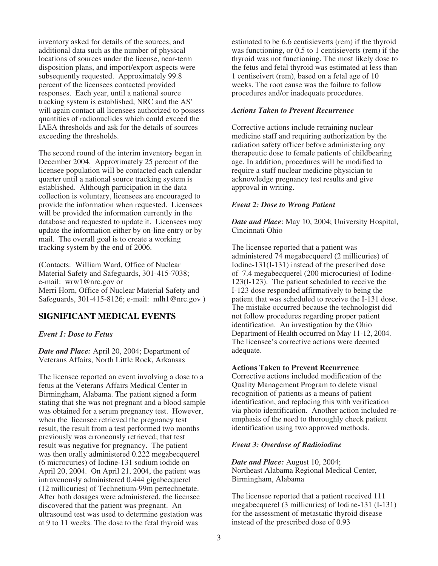inventory asked for details of the sources, and additional data such as the number of physical locations of sources under the license, near-term disposition plans, and import/export aspects were subsequently requested. Approximately 99.8 percent of the licensees contacted provided responses. Each year, until a national source tracking system is established, NRC and the AS' will again contact all licensees authorized to possess quantities of radionuclides which could exceed the IAEA thresholds and ask for the details of sources exceeding the thresholds.

The second round of the interim inventory began in December 2004. Approximately 25 percent of the licensee population will be contacted each calendar quarter until a national source tracking system is established. Although participation in the data collection is voluntary, licensees are encouraged to provide the information when requested. Licensees will be provided the information currently in the database and requested to update it. Licensees may update the information either by on-line entry or by mail. The overall goal is to create a working tracking system by the end of 2006.

(Contacts: William Ward, Office of Nuclear Material Safety and Safeguards, 301-415-7038; e-mail: wrw1@nrc.gov or Merri Horn, Office of Nuclear Material Safety and Safeguards, 301-415-8126; e-mail: mlh1@nrc.gov )

# **SIGNIFICANT MEDICAL EVENTS**

*Event 1: Dose to Fetus*

*Date and Place:* April 20, 2004; Department of Veterans Affairs, North Little Rock, Arkansas

The licensee reported an event involving a dose to a fetus at the Veterans Affairs Medical Center in Birmingham, Alabama. The patient signed a form stating that she was not pregnant and a blood sample was obtained for a serum pregnancy test. However, when the licensee retrieved the pregnancy test result, the result from a test performed two months previously was erroneously retrieved; that test result was negative for pregnancy. The patient was then orally administered 0.222 megabecquerel (6 microcuries) of Iodine-131 sodium iodide on April 20, 2004. On April 21, 2004, the patient was intravenously administered 0.444 gigabecquerel (12 millicuries) of Technetium-99m pertechnetate. After both dosages were administered, the licensee discovered that the patient was pregnant. An ultrasound test was used to determine gestation was at 9 to 11 weeks. The dose to the fetal thyroid was

estimated to be 6.6 centisieverts (rem) if the thyroid was functioning, or 0.5 to 1 centisieverts (rem) if the thyroid was not functioning. The most likely dose to the fetus and fetal thyroid was estimated at less than 1 centiseivert (rem), based on a fetal age of 10 weeks. The root cause was the failure to follow procedures and/or inadequate procedures.

## *Actions Taken to Prevent Recurrence*

Corrective actions include retraining nuclear medicine staff and requiring authorization by the radiation safety officer before administering any therapeutic dose to female patients of childbearing age. In addition, procedures will be modified to require a staff nuclear medicine physician to acknowledge pregnancy test results and give approval in writing.

#### *Event 2: Dose to Wrong Patient*

*Date and Place*: May 10, 2004; University Hospital, Cincinnati Ohio

The licensee reported that a patient was administered 74 megabecquerel (2 millicuries) of Iodine-131(I-131) instead of the prescribed dose of 7.4 megabecquerel (200 microcuries) of Iodine-123(I-123). The patient scheduled to receive the I-123 dose responded affirmatively to being the patient that was scheduled to receive the I-131 dose. The mistake occurred because the technologist did not follow procedures regarding proper patient identification. An investigation by the Ohio Department of Health occurred on May 11-12, 2004. The licensee's corrective actions were deemed adequate.

#### **Actions Taken to Prevent Recurrence**

Corrective actions included modification of the Quality Management Program to delete visual recognition of patients as a means of patient identification, and replacing this with verification via photo identification. Another action included reemphasis of the need to thoroughly check patient identification using two approved methods.

## *Event 3: Overdose of Radioiodine*

*Date and Place:* August 10, 2004; Northeast Alabama Regional Medical Center, Birmingham, Alabama

The licensee reported that a patient received 111 megabecquerel (3 millicuries) of Iodine-131 (I-131) for the assessment of metastatic thyroid disease instead of the prescribed dose of 0.93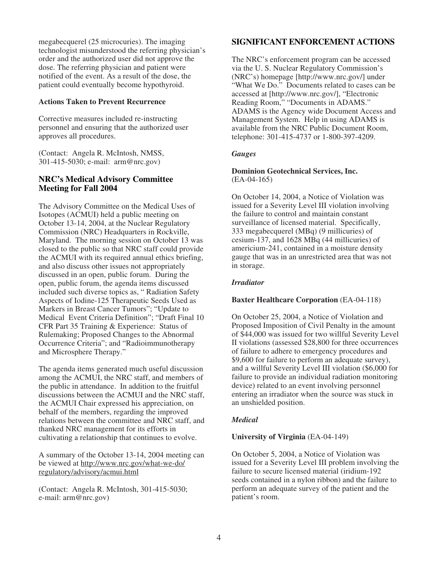megabecquerel (25 microcuries). The imaging technologist misunderstood the referring physician's order and the authorized user did not approve the dose. The referring physician and patient were notified of the event. As a result of the dose, the patient could eventually become hypothyroid.

## **Actions Taken to Prevent Recurrence**

Corrective measures included re-instructing personnel and ensuring that the authorized user approves all procedures.

(Contact: Angela R. McIntosh, NMSS, 301-415-5030; e-mail: arm@nrc.gov)

## **NRC's Medical Advisory Committee Meeting for Fall 2004**

The Advisory Committee on the Medical Uses of Isotopes (ACMUI) held a public meeting on October 13-14, 2004, at the Nuclear Regulatory Commission (NRC) Headquarters in Rockville, Maryland. The morning session on October 13 was closed to the public so that NRC staff could provide the ACMUI with its required annual ethics briefing, and also discuss other issues not appropriately discussed in an open, public forum. During the open, public forum, the agenda items discussed included such diverse topics as, " Radiation Safety Aspects of Iodine-125 Therapeutic Seeds Used as Markers in Breast Cancer Tumors"; "Update to Medical Event Criteria Definition"; "Draft Final 10 CFR Part 35 Training & Experience: Status of Rulemaking; Proposed Changes to the Abnormal Occurrence Criteria"; and "Radioimmunotherapy and Microsphere Therapy."

The agenda items generated much useful discussion among the ACMUI, the NRC staff, and members of the public in attendance. In addition to the fruitful discussions between the ACMUI and the NRC staff, the ACMUI Chair expressed his appreciation, on behalf of the members, regarding the improved relations between the committee and NRC staff, and thanked NRC management for its efforts in cultivating a relationship that continues to evolve.

A summary of the October 13-14, 2004 meeting can be viewed at http://www.nrc.gov/what-we-do/ regulatory/advisory/acmui.html

(Contact: Angela R. McIntosh, 301-415-5030; e-mail: arm@nrc.gov)

# **SIGNIFICANT ENFORCEMENT ACTIONS**

The NRC's enforcement program can be accessed via the U. S. Nuclear Regulatory Commission's (NRC's) homepage [http://www.nrc.gov/] under "What We Do." Documents related to cases can be accessed at [http://www.nrc.gov/], "Electronic Reading Room," "Documents in ADAMS." ADAMS is the Agency wide Document Access and Management System. Help in using ADAMS is available from the NRC Public Document Room, telephone: 301-415-4737 or 1-800-397-4209.

## *Gauges*

## **Dominion Geotechnical Services, Inc.** (EA-04-165)

On October 14, 2004, a Notice of Violation was issued for a Severity Level III violation involving the failure to control and maintain constant surveillance of licensed material. Specifically, 333 megabecquerel (MBq) (9 millicuries) of cesium-137, and 1628 MBq (44 millicuries) of americium-241, contained in a moisture density gauge that was in an unrestricted area that was not in storage.

## *Irradiator*

## **Baxter Healthcare Corporation** (EA-04-118)

On October 25, 2004, a Notice of Violation and Proposed Imposition of Civil Penalty in the amount of \$44,000 was issued for two willful Severity Level II violations (assessed \$28,800 for three occurrences of failure to adhere to emergency procedures and \$9,600 for failure to perform an adequate survey), and a willful Severity Level III violation (\$6,000 for failure to provide an individual radiation monitoring device) related to an event involving personnel entering an irradiator when the source was stuck in an unshielded position.

## *Medical*

## **University of Virginia** (EA-04-149)

On October 5, 2004, a Notice of Violation was issued for a Severity Level III problem involving the failure to secure licensed material (iridium-192 seeds contained in a nylon ribbon) and the failure to perform an adequate survey of the patient and the patient's room.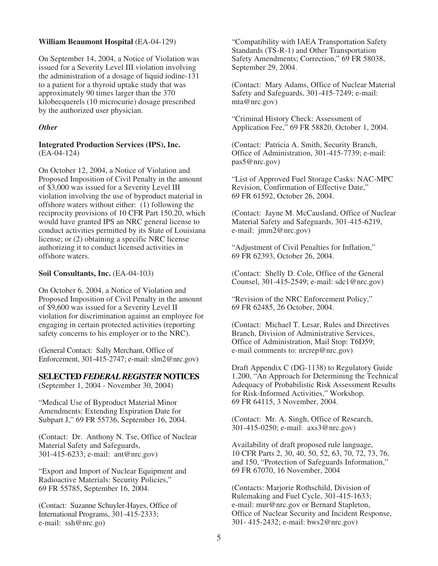### **William Beaumont Hospital** (EA-04-129)

On September 14, 2004, a Notice of Violation was issued for a Severity Level III violation involving the administration of a dosage of liquid iodine-131 to a patient for a thyroid uptake study that was approximately 90 times larger than the 370 kilobecquerels (10 microcurie) dosage prescribed by the authorized user physician.

## *Other*

#### **Integrated Production Services (IPS), Inc.** (EA-04-124)

On October 12, 2004, a Notice of Violation and Proposed Imposition of Civil Penalty in the amount of \$3,000 was issued for a Severity Level III violation involving the use of byproduct material in offshore waters without either: (1) following the reciprocity provisions of 10 CFR Part 150.20, which would have granted IPS an NRC general license to conduct activities permitted by its State of Louisiana license; or (2) obtaining a specific NRC license authorizing it to conduct licensed activities in offshore waters.

#### **Soil Consultants, Inc.** (EA-04-103)

On October 6, 2004, a Notice of Violation and Proposed Imposition of Civil Penalty in the amount of \$9,600 was issued for a Severity Level II violation for discrimination against an employee for engaging in certain protected activities (reporting safety concerns to his employer or to the NRC).

(General Contact: Sally Merchant, Office of Enforcement, 301-415-2747; e-mail: slm2@nrc.gov)

#### **SELECTED** *FEDERAL REGISTER* **NOTICES**

(September 1, 2004 - November 30, 2004)

"Medical Use of Byproduct Material Minor Amendments: Extending Expiration Date for Subpart J," 69 FR 55736, September 16, 2004.

(Contact: Dr. Anthony N. Tse, Office of Nuclear Material Safety and Safeguards, 301-415-6233; e-mail: ant@nrc.gov)

"Export and Import of Nuclear Equipment and Radioactive Materials: Security Policies," 69 FR 55785, September 16, 2004.

(Contact: Suzanne Schuyler-Hayes, Office of International Programs, 301-415-2333; e-mail: ssh@nrc.go)

"Compatibility with IAEA Transportation Safety Standards (TS-R-1) and Other Transportation Safety Amendments; Correction," 69 FR 58038, September 29, 2004.

(Contact: Mary Adams, Office of Nuclear Material Safety and Safeguards, 301-415-7249; e-mail: mta@nrc.gov)

"Criminal History Check: Assessment of Application Fee," 69 FR 58820, October 1, 2004.

(Contact: Patricia A. Smith, Security Branch, Office of Administration, 301-415-7739; e-mail: pas5@nrc.gov)

"List of Approved Fuel Storage Casks: NAC-MPC Revision, Confirmation of Effective Date," 69 FR 61592, October 26, 2004.

(Contact: Jayne M. McCausland, Office of Nuclear Material Safety and Safeguards, 301-415-6219, e-mail: jmm2@nrc.gov)

"Adjustment of Civil Penalties for Inflation," 69 FR 62393, October 26, 2004.

(Contact: Shelly D. Cole, Office of the General Counsel, 301-415-2549; e-mail: sdc1@nrc.gov)

"Revision of the NRC Enforcement Policy," 69 FR 62485, 26 October, 2004.

(Contact: Michael T. Lesar, Rules and Directives Branch, Division of Administrative Services, Office of Administration, Mail Stop: T6D59; e-mail comments to: nrcrep@nrc.gov)

Draft Appendix C (DG-1138) to Regulatory Guide 1.200, "An Approach for Determining the Technical Adequacy of Probabilistic Risk Assessment Results for Risk-Informed Activities," Workshop. 69 FR 64115, 3 November, 2004.

(Contact: Mr. A. Singh, Office of Research, 301-415-0250; e-mail: axs3@nrc.gov)

Availability of draft proposed rule language, 10 CFR Parts 2, 30, 40, 50, 52, 63, 70, 72, 73, 76, and 150, "Protection of Safeguards Information," 69 FR 67070, 16 November, 2004

(Contacts: Marjorie Rothschild, Division of Rulemaking and Fuel Cycle, 301-415-1633; e-mail: mur@nrc.gov or Bernard Stapleton, Office of Nuclear Security and Incident Response, 301- 415-2432; e-mail: bws2@nrc.gov)